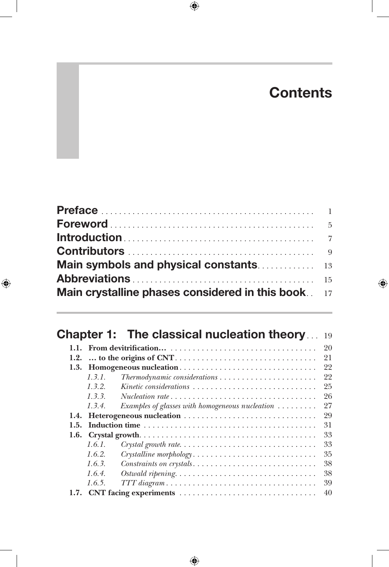# **Contents**

| Main crystalline phases considered in this book. 17 |  |
|-----------------------------------------------------|--|

|      |             | <b>Chapter 1: The classical nucleation theory</b><br>19                                                                     |
|------|-------------|-----------------------------------------------------------------------------------------------------------------------------|
|      |             | 20                                                                                                                          |
| 1.2. |             | 21                                                                                                                          |
|      |             | 1.3. Homogeneous nucleation<br>22                                                                                           |
|      | 1, 3, 1,    | 22<br>$The \textit{rmod} \textit{y} \textit{namic} \textit{considerations} \dots \dots \dots \dots \dots \dots \dots \dots$ |
|      | 1, 3, 2.    | 25<br>Kinetic considerations                                                                                                |
|      | 1, 3, 3,    | 26<br>$Nucleation rate \dots \dots \dots \dots \dots \dots \dots \dots \dots \dots \dots \dots$                             |
|      | $1, 3, 4$ . | 27<br>Examples of glasses with homogeneous nucleation $\ldots \ldots$                                                       |
|      |             | 29                                                                                                                          |
| 1.5. |             | 31                                                                                                                          |
| 1.6. |             | 33                                                                                                                          |
|      | 1.6.1.      | 33                                                                                                                          |
|      | 1.6.2.      | 35<br>Crystalline morphology                                                                                                |
|      | 1.6.3.      | 38<br>Constraints on crystals                                                                                               |
|      | 1.6.4.      | 38<br>$Ostwald\ ripening. \ldots \ldots \ldots \ldots \ldots \ldots \ldots \ldots \ldots \ldots$                            |
|      | 1.6.5.      | 39<br>$TTT\, diagram \dots \dots \dots \dots \dots \dots \dots \dots \dots \dots \dots \dots$                               |
|      |             | 40                                                                                                                          |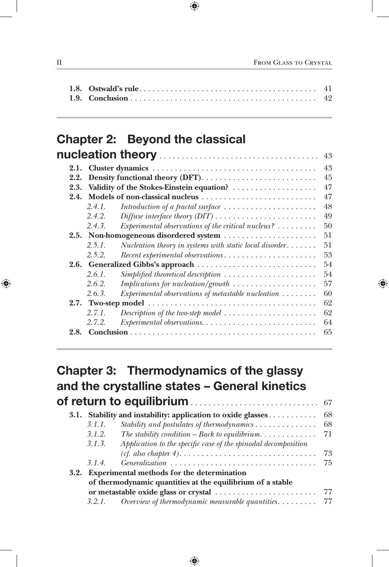#### Chapter 2: Beyond the classical nucleation theory.

|      |        |                                                                                       | 43 |
|------|--------|---------------------------------------------------------------------------------------|----|
| 2.1. |        |                                                                                       | 43 |
| 2.2. |        |                                                                                       | 45 |
| 2.3. |        |                                                                                       | 47 |
| 2.4. |        |                                                                                       | 47 |
|      | 2.4.1. | Introduction of a fractal surface $\dots \dots \dots \dots \dots \dots \dots$         | 48 |
|      | 2.4.2. |                                                                                       | 49 |
|      | 2.4.3. | Experimental observations of the critical nucleus? $\ldots \ldots$                    | 50 |
|      |        | 2.5. Non-homogeneous disordered system                                                | 51 |
|      | 2.5.1. | Nucleation theory in systems with static local disorder                               | 51 |
|      | 2.5.2. |                                                                                       | 53 |
|      |        |                                                                                       | 54 |
|      | 2.6.1. | Simplified theoretical description $\ldots \ldots \ldots \ldots \ldots \ldots \ldots$ | 54 |
|      | 2.6.2. | <i>Implications for nucleation/growth</i> $\ldots \ldots \ldots \ldots \ldots \ldots$ | 57 |
|      | 2.6.3. | Experimental observations of metastable nucleation $\dots\dots\dots$                  | 60 |
|      |        |                                                                                       | 62 |
|      | 2.7.1. | Description of the two-step model $\ldots \ldots \ldots \ldots \ldots \ldots$         | 62 |
|      | 2.7.2. |                                                                                       | 64 |
| 2.8. |        |                                                                                       | 65 |
|      |        |                                                                                       |    |

### Chapter 3: Thermodynamics of the glassy and the crystalline states – General kinetics of return to equilibrium. <sup>67</sup>

|        | 3.1. Stability and instability: application to oxide glasses   | -68 |
|--------|----------------------------------------------------------------|-----|
| 3.1.1. | Stability and postulates of thermodynamics                     | 68  |
| 3.1.2. |                                                                |     |
| 3.1.3. | Application to the specific case of the spinodal decomposition |     |
|        |                                                                | 73  |
| 3.1.4. |                                                                | 75  |
|        | 3.2. Experimental methods for the determination                |     |
|        | of thermodynamic quantities at the equilibrium of a stable     |     |
|        |                                                                |     |
| 3.2.1. | Overview of thermodynamic measurable quantities. $\dots \dots$ | 77  |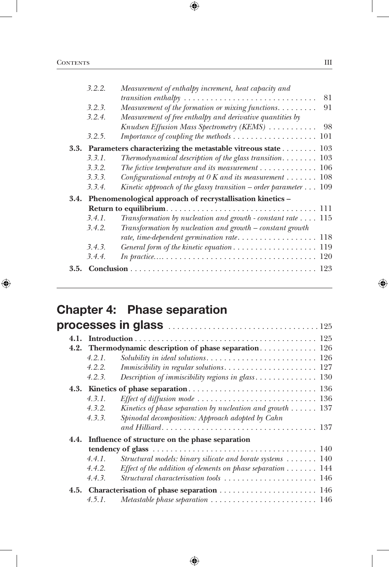| 3.2.2. | Measurement of enthalpy increment, heat capacity and                                                         |
|--------|--------------------------------------------------------------------------------------------------------------|
|        | 81<br>$transition \text{ } enthalpy \text{ } \ldots \ldots \ldots \ldots \ldots \ldots \ldots \ldots \ldots$ |
| 3.2.3. | Measurement of the formation or mixing functions.<br>91                                                      |
| 3.2.4. | Measurement of free enthalpy and derivative quantities by                                                    |
|        | Knudsen Effusion Mass Spectrometry (KEMS)  98                                                                |
| 3.2.5. | Importance of coupling the methods  101                                                                      |
|        | 3.3. Parameters characterizing the metastable vitreous state 103                                             |
| 3.3.1. | Thermodynamical description of the glass transition $103$                                                    |
| 3.3.2. | The fictive temperature and its measurement $\ldots \ldots \ldots \ldots 106$                                |
| 3.3.3. | Configurational entropy at $0 K$ and its measurement  108                                                    |
| 3.3.4. | Kinetic approach of the glassy transition – order parameter $\dots$ 109                                      |
|        | 3.4. Phenomenological approach of recrystallisation kinetics -                                               |
|        |                                                                                                              |
| 3.4.1. | Transformation by nucleation and growth - constant rate $\dots$ 115                                          |
| 3.4.2. | Transformation by nucleation and growth – constant growth                                                    |
|        |                                                                                                              |
| 3.4.3. |                                                                                                              |
| 3.4.4. |                                                                                                              |
|        |                                                                                                              |

# Chapter 4: Phase separation

|             | 4.2. Thermodynamic description of phase separation 126                                            |
|-------------|---------------------------------------------------------------------------------------------------|
| 4.2.1.      |                                                                                                   |
| 4.2.2.      | <i>Immiscibility in regular solutions.</i> $\ldots \ldots \ldots \ldots \ldots \ldots \ldots 127$ |
| 4.2.3.      | Description of immiscibility regions in glass 130                                                 |
|             |                                                                                                   |
| $4, 3, 1$ . |                                                                                                   |
| 4.3.2.      | Kinetics of phase separation by nucleation and growth $\dots \dots 137$                           |
| 4.3.3.      | Spinodal decomposition: Approach adopted by Cahn                                                  |
|             |                                                                                                   |
|             | 4.4. Influence of structure on the phase separation                                               |
|             |                                                                                                   |
| 4.4.1.      | Structural models: binary silicate and borate systems $\ldots \ldots$ 140                         |
| 4.4.2.      | Effect of the addition of elements on phase separation 144                                        |
| 4.4.3.      | Structural characterisation tools  146                                                            |
|             | 4.5. Characterisation of phase separation  146                                                    |
| 4.5.1.      | Metastable phase separation  146                                                                  |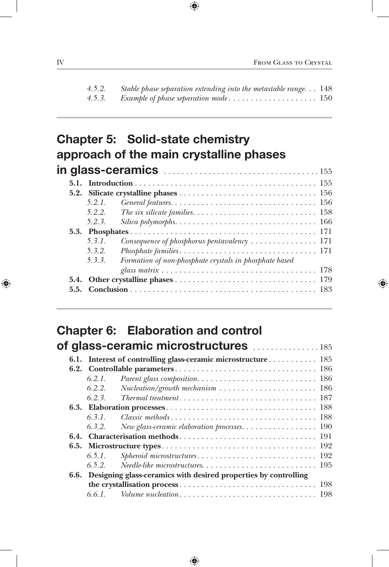| 4.5.2. | Stable phase separation extending into the metastable range 148 |  |
|--------|-----------------------------------------------------------------|--|
| 4.5.3. |                                                                 |  |

## Chapter 5: Solid-state chemistry approach of the main crystalline phases in glass-ceramics . <sup>155</sup>

| 5.2.        |                                                                                                             |
|-------------|-------------------------------------------------------------------------------------------------------------|
| 5.2.1.      | General features. $\ldots \ldots \ldots \ldots \ldots \ldots \ldots \ldots \ldots \ldots \ldots \ldots 156$ |
| 5.2.2.      | The six silicate families. $\ldots \ldots \ldots \ldots \ldots \ldots \ldots \ldots \ldots \ldots 158$      |
| 5.2.3.      |                                                                                                             |
|             |                                                                                                             |
| $5, 3, 1$ . | Consequence of phosphorus pentavalency $\dots\dots\dots\dots\dots$ 171                                      |
| 5.3.2.      | $Phosphate families \ldots \ldots \ldots \ldots \ldots \ldots \ldots \ldots \ldots \ldots 171$              |
| 5, 3, 3     | Formation of non-phosphate crystals in phosphate based                                                      |
|             |                                                                                                             |
|             |                                                                                                             |
|             |                                                                                                             |

### Chapter 6: Elaboration and control of alass-ceramic microstructures . . . . . . . . . . . . . 185

| 6.1. |             |                                                                                             |
|------|-------------|---------------------------------------------------------------------------------------------|
|      |             |                                                                                             |
|      | 6.2.1.      |                                                                                             |
|      | 6.2.2.      | $Nucleation/growth\ mechanism\ \dots \dots \dots \dots \dots \dots \dots \dots \dots \ 186$ |
|      | $6, 2, 3$ . |                                                                                             |
|      |             |                                                                                             |
|      | $6, 3, 1$ . |                                                                                             |
|      |             |                                                                                             |
|      |             |                                                                                             |
|      |             |                                                                                             |
|      | 6.5.1.      |                                                                                             |
|      | 6.5.2.      |                                                                                             |
|      |             | 6.6. Designing glass-ceramics with desired properties by controlling                        |
|      |             |                                                                                             |
|      | 6.6.1.      |                                                                                             |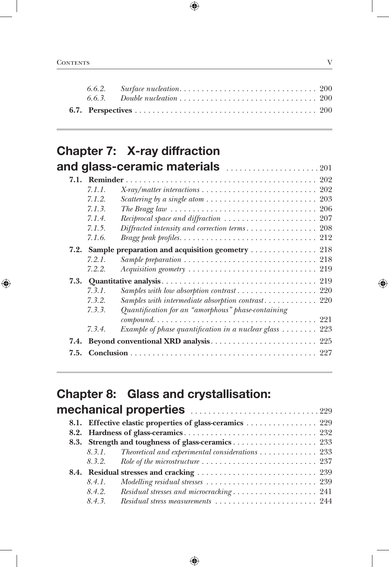### Chapter 7: X-ray diffraction and glass-ceramic materials **and glass-ceramic materials**

|      |        | $\mathbf{u}$ grass-ceranno materials $\ldots \ldots \ldots \ldots \ldots \ldots$                        |
|------|--------|---------------------------------------------------------------------------------------------------------|
| 7.1. |        |                                                                                                         |
|      | 7.1.1. |                                                                                                         |
|      | 7.1.2. | Scattering by a single atom $\ldots \ldots \ldots \ldots \ldots \ldots \ldots \ldots 203$               |
|      | 7.1.3. | The Bragg law $\ldots \ldots \ldots \ldots \ldots \ldots \ldots \ldots \ldots \ldots \ldots \ldots 206$ |
|      | 7.1.4. | Reciprocal space and diffraction $\ldots \ldots \ldots \ldots \ldots \ldots \ldots 207$                 |
|      | 7.1.5. |                                                                                                         |
|      | 7.1.6. | <i>Bragg peak profiles.</i> $\ldots \ldots \ldots \ldots \ldots \ldots \ldots \ldots \ldots \ldots 212$ |
|      |        | 7.2. Sample preparation and acquisition geometry  218                                                   |
|      | 7.2.1. | Sample preparation $\ldots \ldots \ldots \ldots \ldots \ldots \ldots \ldots \ldots \ldots 218$          |
|      | 7.2.2. |                                                                                                         |
| 7.3. |        |                                                                                                         |
|      | 7.3.1. | Samples with low absorption contrast 220                                                                |
|      | 7.3.2. | Samples with intermediate absorption contrast 220                                                       |
|      | 7.3.3. | Quantification for an "amorphous" phase-containing                                                      |
|      |        | $compound. \ldots \ldots \ldots \ldots \ldots \ldots \ldots \ldots \ldots \ldots \ldots \ldots 221$     |
|      | 7.3.4. | Example of phase quantification in a nuclear glass $\ldots \ldots$ 223                                  |
| 7.4. |        |                                                                                                         |
|      |        |                                                                                                         |

## Chapter 8: Glass and crystallisation:

|             | mechanical properties 229                                |
|-------------|----------------------------------------------------------|
|             | 8.1. Effective elastic properties of glass-ceramics  229 |
|             |                                                          |
|             |                                                          |
|             | 8.3.1. Theoretical and experimental considerations 233   |
|             |                                                          |
|             |                                                          |
| 8.4.1.      |                                                          |
| 8.4.2.      |                                                          |
| $8, 4, 3$ . |                                                          |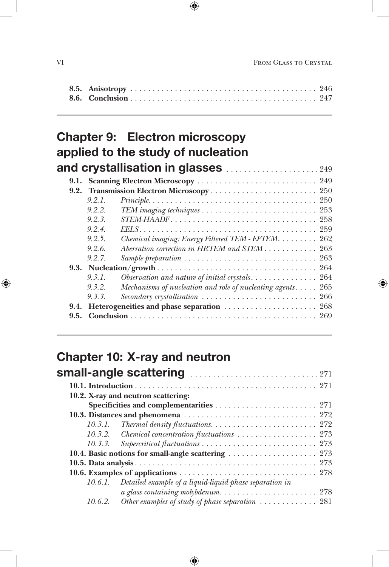### Chapter 9: Electron microscopy applied to the study of nucleation and crystallisation in glasses ......................249

|          | 9.1. Scanning Electron Microscopy  249                                                                     |
|----------|------------------------------------------------------------------------------------------------------------|
|          |                                                                                                            |
| 9.2.1.   | $Principle \ldots \ldots \ldots \ldots \ldots \ldots \ldots \ldots \ldots \ldots \ldots \ldots \ldots 250$ |
| 9.2.2.   |                                                                                                            |
| 9.2.3    |                                                                                                            |
| 9.2.4.   |                                                                                                            |
| 9.2.5.   | Chemical imaging: Energy Filtered TEM - EFTEM. 262                                                         |
| 9.2.6.   | Aberration correction in HRTEM and STEM 263                                                                |
| 9.2.7.   | Sample preparation $\ldots \ldots \ldots \ldots \ldots \ldots \ldots \ldots \ldots \ldots \ldots$ 263      |
|          |                                                                                                            |
| 9.3.1.   |                                                                                                            |
| 9.3.2.   | Mechanisms of nucleation and role of nucleating agents 265                                                 |
| 9, 3, 3, | Secondary crystallisation  266                                                                             |
|          |                                                                                                            |
|          |                                                                                                            |
|          |                                                                                                            |

## Chapter 10: X-ray and neutron

|         | 10.2. X-ray and neutron scattering:                                                                 |
|---------|-----------------------------------------------------------------------------------------------------|
|         |                                                                                                     |
|         |                                                                                                     |
|         | 10.3.1. Thermal density fluctuations. $\ldots \ldots \ldots \ldots \ldots \ldots \ldots \ldots 272$ |
|         | 10.3.2. Chemical concentration fluctuations  273                                                    |
|         |                                                                                                     |
|         |                                                                                                     |
|         |                                                                                                     |
|         |                                                                                                     |
| 10.6.1. | Detailed example of a liquid-liquid phase separation in                                             |
|         |                                                                                                     |
|         | 10.6.2. Other examples of study of phase separation $\ldots \ldots \ldots \ldots$ 281               |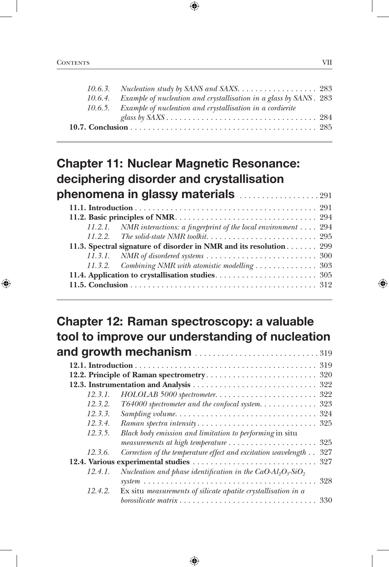| 10.6.4. Example of nucleation and crystallisation in a glass by SANS. 283 |  |
|---------------------------------------------------------------------------|--|
| 10.6.5. Example of nucleation and crystallisation in a cordierite         |  |
|                                                                           |  |
|                                                                           |  |

## Chapter 11: Nuclear Magnetic Resonance: deciphering disorder and crystallisation phenomena in glassy materials ....................291

| 11.2.1. NMR interactions: a fingerprint of the local environment 294 |
|----------------------------------------------------------------------|
|                                                                      |
| 11.3. Spectral signature of disorder in NMR and its resolution 299   |
|                                                                      |
| 11.3.2. Combining NMR with atomistic modelling  303                  |
|                                                                      |
|                                                                      |

#### Chapter 12: Raman spectroscopy: a valuable tool to improve our understanding of nucleation and growth mechanism  $\frac{1}{210}$

| 12.3.1. |                                                                       |
|---------|-----------------------------------------------------------------------|
| 12.3.2. | T64000 spectrometer and the confocal system 323                       |
| 12.3.3. |                                                                       |
| 12.3.4. |                                                                       |
| 12.3.5. | Black body emission and limitation to performing in situ              |
|         |                                                                       |
| 12.3.6. | 327<br>Correction of the temperature effect and excitation wavelength |
|         |                                                                       |
| 12.4.1. | Nucleation and phase identification in the CaO- $Al_2O_3-SiO_2$       |
|         |                                                                       |
| 12.4.2. | Ex situ measurements of silicate apatite crystallisation in a         |
|         |                                                                       |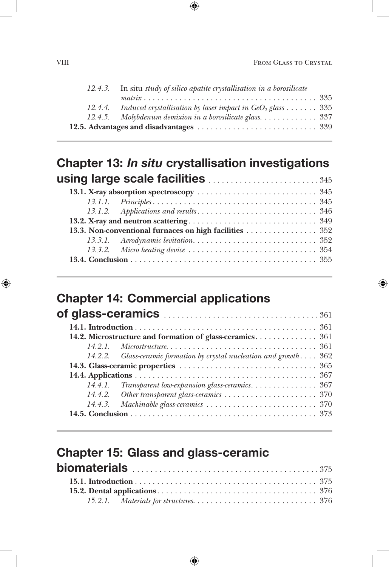| 12.4.3. In situ study of silico apatite crystallisation in a borosilicate |
|---------------------------------------------------------------------------|
|                                                                           |
| 12.4.4. Induced crystallisation by laser impact in $GeO2$ glass  335      |
|                                                                           |
|                                                                           |

### Chapter 13: *In situ* crystallisation investigations using large scale facilities . . . . . . . . . . . . . . . . . . . . . . . . . <sup>345</sup>

#### Chapter 14: Commercial applications

| 14.2.2. Glass-ceramic formation by crystal nucleation and growth 362 |
|----------------------------------------------------------------------|
|                                                                      |
|                                                                      |
|                                                                      |
|                                                                      |
|                                                                      |
|                                                                      |

## Chapter 15: Glass and glass-ceramic biomaterials . <sup>375</sup>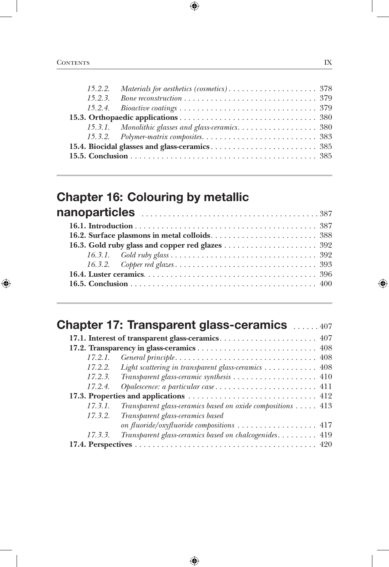### Chapter 16: Colouring by metallic nanoparticles . <sup>387</sup>

|         | <b>Chapter 17: Transparent glass-ceramics</b> 407           |
|---------|-------------------------------------------------------------|
|         |                                                             |
|         |                                                             |
| 17.2.1. |                                                             |
|         | 17.2.2. Light scattering in transparent glass-ceramics 408  |
|         |                                                             |
| 17.2.4. | Opalescence: a particular case 411                          |
|         |                                                             |
| 17.3.1. | Transparent glass-ceramics based on oxide compositions  413 |
| 17.3.2. | Transparent glass-ceramics based                            |
|         | on fluoride/oxyfluoride compositions  417                   |
| 17.3.3. | Transparent glass-ceramics based on chalcogenides 419       |
|         |                                                             |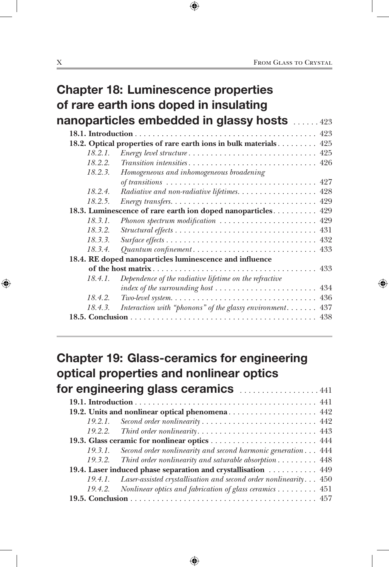|         | <b>Chapter 18: Luminescence properties</b><br>of rare earth ions doped in insulating |
|---------|--------------------------------------------------------------------------------------|
|         | nanoparticles embedded in glassy hosts 423                                           |
|         |                                                                                      |
|         | 18.2. Optical properties of rare earth ions in bulk materials 425                    |
| 18.2.1. |                                                                                      |
| 18.2.2. |                                                                                      |
| 18.2.3. | Homogeneous and inhomogeneous broadening                                             |
|         |                                                                                      |
| 18.2.4  | Radiative and non-radiative lifetimes. 428                                           |
| 18.2.5. |                                                                                      |
|         | 18.3. Luminescence of rare earth ion doped nanoparticles 429                         |
| 18.3.1. | Phonon spectrum modification  429                                                    |
| 18.3.2. |                                                                                      |
| 18.3.3. |                                                                                      |
| 18.3.4. |                                                                                      |
|         | 18.4. RE doped nanoparticles luminescence and influence                              |
|         |                                                                                      |
| 18.4.1. | Dependence of the radiative lifetime on the refractive                               |
|         |                                                                                      |
| 18.4.2. |                                                                                      |
| 18.4.3. | Interaction with "phonons" of the glassy environment<br>437                          |
|         | 438                                                                                  |

## Chapter 19: Glass-ceramics for engineering optical properties and nonlinear optics for engineering glass ceramics ..................441

|                                                               | 19.2.1. Second order nonlinearity  442                                      |
|---------------------------------------------------------------|-----------------------------------------------------------------------------|
|                                                               |                                                                             |
|                                                               |                                                                             |
|                                                               | 19.3.1. Second order nonlinearity and second harmonic generation 444        |
|                                                               | 19.3.2. Third order nonlinearity and saturable absorption $\dots \dots$ 448 |
| 19.4. Laser induced phase separation and crystallisation  449 |                                                                             |
|                                                               | 19.4.1. Laser-assisted crystallisation and second order nonlinearity 450    |
|                                                               | 19.4.2. Nonlinear optics and fabrication of glass ceramics 451              |
|                                                               |                                                                             |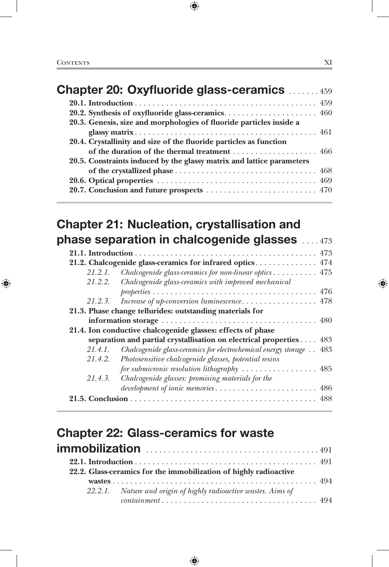| <b>Chapter 20: Oxyfluoride glass-ceramics 459</b>                     |  |
|-----------------------------------------------------------------------|--|
|                                                                       |  |
|                                                                       |  |
| 20.3. Genesis, size and morphologies of fluoride particles inside a   |  |
|                                                                       |  |
| 20.4. Crystallinity and size of the fluoride particles as function    |  |
|                                                                       |  |
| 20.5. Constraints induced by the glassy matrix and lattice parameters |  |
|                                                                       |  |
|                                                                       |  |
|                                                                       |  |
|                                                                       |  |

## Chapter 21: Nucleation, crystallisation and phase separation in chalcogenide glasses ....473

|         | 21.2. Chalcogenide glass-ceramics for infrared optics 474                       |
|---------|---------------------------------------------------------------------------------|
|         | 21.2.1. Chalcogenide glass-ceramics for non-linear optics  475                  |
|         | 21.2.2. Chalcogenide glass-ceramics with improved mechanical                    |
|         |                                                                                 |
|         |                                                                                 |
|         | 21.3. Phase change tellurides: outstanding materials for                        |
|         |                                                                                 |
|         | 21.4. Ion conductive chalcogenide glasses: effects of phase                     |
|         | separation and partial crystallisation on electrical properties 483             |
| 21.4.1. | Chalcogenide glass-ceramics for electrochemical energy storage 483              |
|         | 21.4.2. Photosensitive chalcogenide glasses, potential resins                   |
|         | for submicronic resolution lithography $\ldots \ldots \ldots \ldots \ldots$ 485 |
| 21.4.3. | Chalcogenide glasses: promising materials for the                               |
|         | development of ionic memories 486                                               |
|         |                                                                                 |
|         |                                                                                 |

## Chapter 22: Glass-ceramics for waste immobilization . <sup>491</sup>

|  | 22.2. Glass-ceramics for the immobilization of highly radioactive |  |
|--|-------------------------------------------------------------------|--|
|  |                                                                   |  |
|  | 22.2.1. Nature and origin of highly radioactive wastes. Aims of   |  |